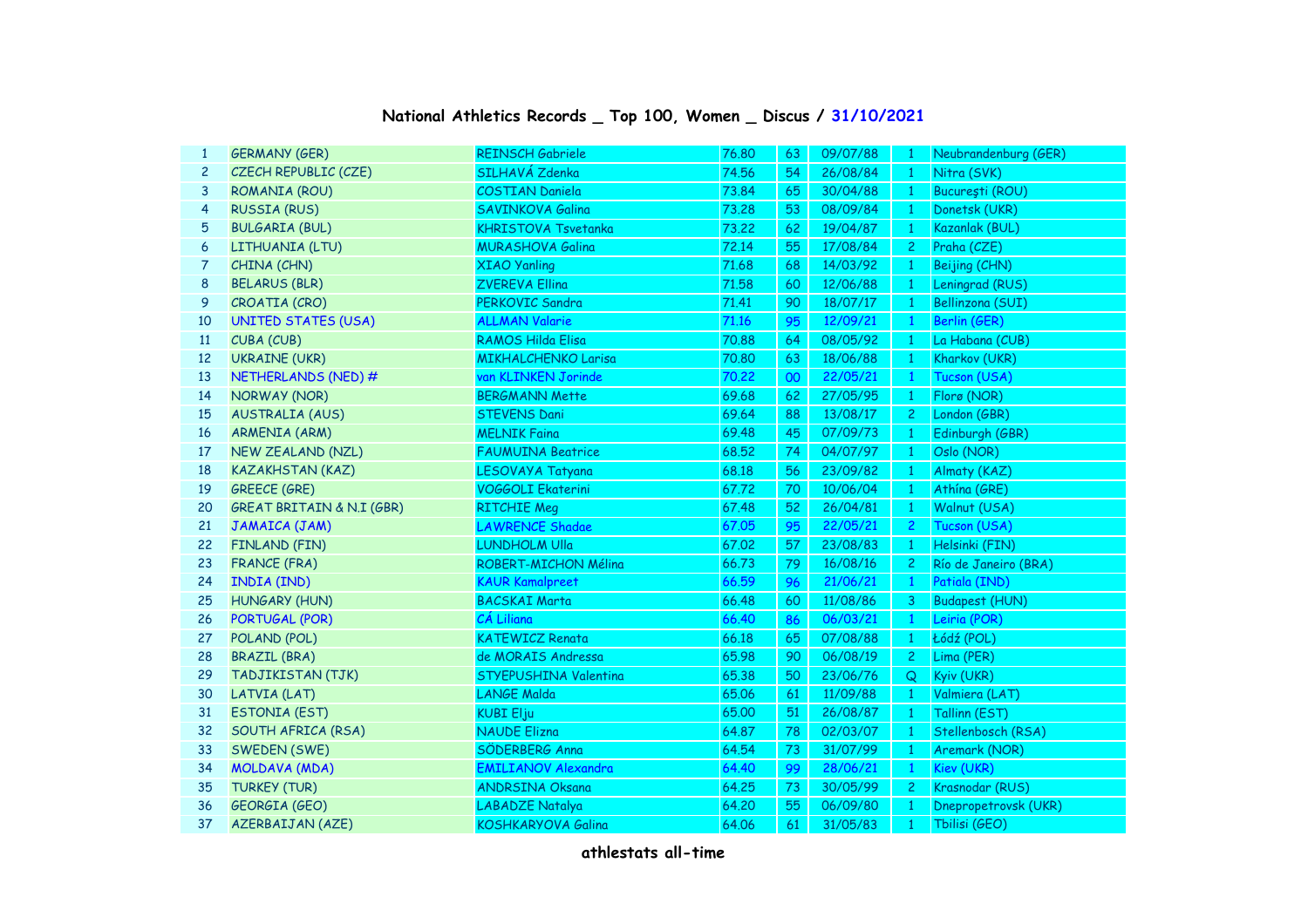## **National Athletics Records \_ Top 100, Women \_ Discus / 31/10/2021**

| 1              | <b>GERMANY (GER)</b>                 | <b>REINSCH Gabriele</b>    | 76.80 | 63 | 09/07/88 | $\mathbf{1}$   | Neubrandenburg (GER)  |
|----------------|--------------------------------------|----------------------------|-------|----|----------|----------------|-----------------------|
| $\overline{c}$ | CZECH REPUBLIC (CZE)                 | SILHAVÁ Zdenka             | 74.56 | 54 | 26/08/84 | $\mathbf{1}$   | Nitra (SVK)           |
| 3              | <b>ROMANIA (ROU)</b>                 | <b>COSTIAN Daniela</b>     | 73.84 | 65 | 30/04/88 | $\mathbf{1}$   | București (ROU)       |
| 4              | <b>RUSSIA (RUS)</b>                  | SAVINKOVA Galina           | 73.28 | 53 | 08/09/84 | $\mathbf{1}$   | Donetsk (UKR)         |
| 5              | <b>BULGARIA (BUL)</b>                | <b>KHRISTOVA Tsvetanka</b> | 73,22 | 62 | 19/04/87 | $\mathbf{1}$   | Kazanlak (BUL)        |
| 6              | LITHUANIA (LTU)                      | <b>MURASHOVA Galina</b>    | 72.14 | 55 | 17/08/84 | $\mathbf{2}$   | Praha (CZE)           |
| 7              | CHINA (CHN)                          | <b>XIAO Yanling</b>        | 71.68 | 68 | 14/03/92 | $\mathbf{1}$   | Beijing (CHN)         |
| 8              | <b>BELARUS (BLR)</b>                 | <b>ZVEREVA Ellina</b>      | 71.58 | 60 | 12/06/88 | ¢              | Leningrad (RUS)       |
| 9              | CROATIA (CRO)                        | PERKOVIC Sandra            | 71.41 | 90 | 18/07/17 | $\mathbf{1}$   | Bellinzona (SUI)      |
| 10             | <b>UNITED STATES (USA)</b>           | <b>ALLMAN Valarie</b>      | 71.16 | 95 | 12/09/21 | $\mathbf{1}$   | Berlin (GER)          |
| 11             | CUBA (CUB)                           | <b>RAMOS Hilda Elisa</b>   | 70.88 | 64 | 08/05/92 | $\mathbf{1}$   | La Habana (CUB)       |
| 12             | <b>UKRAINE (UKR)</b>                 | <b>MIKHALCHENKO Larisa</b> | 70.80 | 63 | 18/06/88 | $\mathbf{1}$   | Kharkov (UKR)         |
| 13             | NETHERLANDS (NED) #                  | van KLINKEN Jorinde        | 70.22 | 00 | 22/05/21 | $\mathbf{1}$   | Tucson (USA)          |
| 14             | <b>NORWAY (NOR)</b>                  | <b>BERGMANN Mette</b>      | 69.68 | 62 | 27/05/95 | $\mathbf{1}$   | Florø (NOR)           |
| 15             | <b>AUSTRALIA (AUS)</b>               | <b>STEVENS Dani</b>        | 69.64 | 88 | 13/08/17 | $\mathbf{2}$   | London (GBR)          |
| 16             | <b>ARMENIA (ARM)</b>                 | <b>MELNIK Faina</b>        | 69.48 | 45 | 07/09/73 | $\mathbf{1}$   | Edinburgh (GBR)       |
| 17             | <b>NEW ZEALAND (NZL)</b>             | <b>FAUMUINA Beatrice</b>   | 68.52 | 74 | 04/07/97 | $\mathbf{1}$   | Oslo (NOR)            |
| 18             | <b>KAZAKHSTAN (KAZ)</b>              | LESOVAYA Tatyana           | 68.18 | 56 | 23/09/82 | $\mathbf{1}$   | Almaty (KAZ)          |
| 19             | <b>GREECE (GRE)</b>                  | <b>VOGGOLI Ekaterini</b>   | 67.72 | 70 | 10/06/04 | $\mathbf{1}$   | Athína (GRE)          |
| 20             | <b>GREAT BRITAIN &amp; N.I (GBR)</b> | <b>RITCHIE Meg</b>         | 67.48 | 52 | 26/04/81 | $\mathbf{1}$   | Walnut (USA)          |
| 21             | JAMAICA (JAM)                        | <b>LAWRENCE Shadae</b>     | 67.05 | 95 | 22/05/21 | $\overline{2}$ | Tucson (USA)          |
| 22             | FINLAND (FIN)                        | <b>LUNDHOLM Ulla</b>       | 67.02 | 57 | 23/08/83 | $\overline{1}$ | Helsinki (FIN)        |
| 23             | <b>FRANCE (FRA)</b>                  | ROBERT-MICHON Mélina       | 66.73 | 79 | 16/08/16 | $2^{\circ}$    | Río de Janeiro (BRA)  |
| 24             | <b>INDIA (IND)</b>                   | <b>KAUR Kamalpreet</b>     | 66.59 | 96 | 21/06/21 | $\mathbf{1}$   | Patiala (IND)         |
| 25             | <b>HUNGARY (HUN)</b>                 | <b>BACSKAI Marta</b>       | 66.48 | 60 | 11/08/86 | 3 <sup>7</sup> | <b>Budapest (HUN)</b> |
| 26             | PORTUGAL (POR)                       | CÁ Liliana                 | 66.40 | 86 | 06/03/21 | $\mathbf{1}$   | Leiria (POR)          |
| 27             | POLAND (POL)                         | <b>KATEWICZ Renata</b>     | 66.18 | 65 | 07/08/88 | $\overline{1}$ | Łódź (POL)            |
| 28             | <b>BRAZIL (BRA)</b>                  | de MORAIS Andressa         | 65.98 | 90 | 06/08/19 | $2^{\circ}$    | Lima (PER)            |
| 29             | TADJIKISTAN (TJK)                    | STYEPUSHINA Valentina      | 65.38 | 50 | 23/06/76 | Q              | Kyiv (UKR)            |
| 30             | LATVIA (LAT)                         | <b>LANGE Malda</b>         | 65.06 | 61 | 11/09/88 | $\overline{1}$ | Valmiera (LAT)        |
| 31             | <b>ESTONIA (EST)</b>                 | <b>KUBI Elju</b>           | 65.00 | 51 | 26/08/87 | $\mathbf{1}$   | Tallinn (EST)         |
| 32             | SOUTH AFRICA (RSA)                   | <b>NAUDE Elizna</b>        | 64.87 | 78 | 02/03/07 | $\overline{1}$ | Stellenbosch (RSA)    |
| 33             | SWEDEN (SWE)                         | SÖDERBERG Anna             | 64.54 | 73 | 31/07/99 | $\mathbf{1}$   | Aremark (NOR)         |
| 34             | <b>MOLDAVA (MDA)</b>                 | <b>EMILIANOV Alexandra</b> | 64.40 | 99 | 28/06/21 | $\mathbf{1}$   | Kiev (UKR)            |
| 35             | <b>TURKEY (TUR)</b>                  | <b>ANDRSINA Oksana</b>     | 64.25 | 73 | 30/05/99 | $\mathbf{2}$   | Krasnodar (RUS)       |
| 36             | <b>GEORGIA (GEO)</b>                 | <b>LABADZE Natalya</b>     | 64.20 | 55 | 06/09/80 | $\mathbf{1}$   | Dnepropetrovsk (UKR)  |
| 37             | <b>AZERBAIJAN (AZE)</b>              | <b>KOSHKARYOVA Galina</b>  | 64.06 | 61 | 31/05/83 | $\mathbf{1}$   | Tbilisi (GEO)         |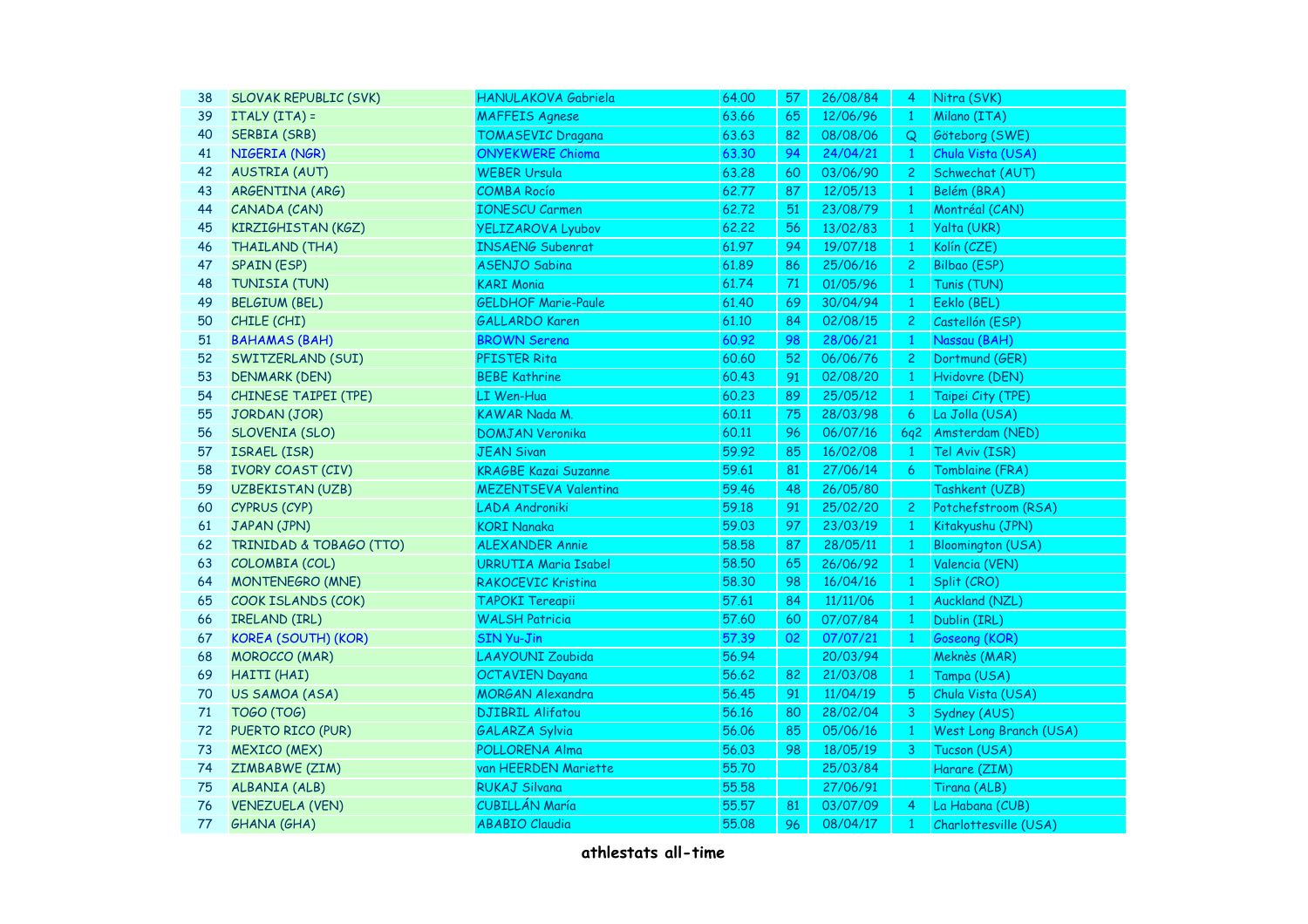| 38 | <b>SLOVAK REPUBLIC (SVK)</b> | HANULAKOVA Gabriela         | 64.00 | 57 | 26/08/84 | 4              | Nitra (SVK)              |
|----|------------------------------|-----------------------------|-------|----|----------|----------------|--------------------------|
| 39 | ITALY (ITA) =                | <b>MAFFEIS Agnese</b>       | 63.66 | 65 | 12/06/96 | $\mathbf{1}$   | Milano (ITA)             |
| 40 | SERBIA (SRB)                 | <b>TOMASEVIC Dragana</b>    | 63.63 | 82 | 08/08/06 | Q              | Göteborg (SWE)           |
| 41 | NIGERIA (NGR)                | <b>ONYEKWERE Chioma</b>     | 63.30 | 94 | 24/04/21 | $\mathbf{1}$   | Chula Vista (USA)        |
| 42 | <b>AUSTRIA (AUT)</b>         | <b>WEBER Ursula</b>         | 63.28 | 60 | 03/06/90 | $\overline{c}$ | Schwechat (AUT)          |
| 43 | ARGENTINA (ARG)              | <b>COMBA Rocío</b>          | 62.77 | 87 | 12/05/13 | $\mathbf{1}$   | Belém (BRA)              |
| 44 | CANADA (CAN)                 | <b>IONESCU Carmen</b>       | 62.72 | 51 | 23/08/79 | $\mathbf{1}$   | Montréal (CAN)           |
| 45 | KIRZIGHISTAN (KGZ)           | <b>YELIZAROVA Lyubov</b>    | 62.22 | 56 | 13/02/83 | $\overline{1}$ | Yalta (UKR)              |
| 46 | <b>THAILAND (THA)</b>        | <b>INSAENG Subenrat</b>     | 61.97 | 94 | 19/07/18 | $\overline{1}$ | Kolín (CZE)              |
| 47 | <b>SPAIN (ESP)</b>           | <b>ASENJO Sabina</b>        | 61.89 | 86 | 25/06/16 | $\mathbf{2}$   | Bilbao (ESP)             |
| 48 | TUNISIA (TUN)                | <b>KARI Monia</b>           | 61.74 | 71 | 01/05/96 | $\mathbf{1}$   | Tunis (TUN)              |
| 49 | <b>BELGIUM (BEL)</b>         | <b>GELDHOF Marie-Paule</b>  | 61.40 | 69 | 30/04/94 | $\mathbf{1}$   | Eeklo (BEL)              |
| 50 | CHILE (CHI)                  | <b>GALLARDO Karen</b>       | 61.10 | 84 | 02/08/15 | $\overline{c}$ | Castellón (ESP)          |
| 51 | <b>BAHAMAS (BAH)</b>         | <b>BROWN Serena</b>         | 60.92 | 98 | 28/06/21 | $\mathbf{1}$   | Nassau (BAH)             |
| 52 | SWITZERLAND (SUI)            | PFISTER Rita                | 60.60 | 52 | 06/06/76 | $\overline{c}$ | Dortmund (GER)           |
| 53 | <b>DENMARK (DEN)</b>         | <b>BEBE Kathrine</b>        | 60.43 | 91 | 02/08/20 | $\overline{1}$ | Hvidovre (DEN)           |
| 54 | <b>CHINESE TAIPEI (TPE)</b>  | LI Wen-Hua                  | 60.23 | 89 | 25/05/12 | $\overline{1}$ | Taipei City (TPE)        |
| 55 | JORDAN (JOR)                 | KAWAR Nada M.               | 60.11 | 75 | 28/03/98 | 6              | La Jolla (USA)           |
| 56 | SLOVENIA (SLO)               | <b>DOMJAN Veronika</b>      | 60.11 | 96 | 06/07/16 | 6q2            | Amsterdam (NED)          |
| 57 | ISRAEL (ISR)                 | <b>JEAN Sivan</b>           | 59.92 | 85 | 16/02/08 | $\mathbf{1}$   | Tel Aviv (ISR)           |
| 58 | <b>IVORY COAST (CIV)</b>     | <b>KRAGBE Kazai Suzanne</b> | 59.61 | 81 | 27/06/14 | 6              | Tomblaine (FRA)          |
| 59 | <b>UZBEKISTAN (UZB)</b>      | <b>MEZENTSEVA Valentina</b> | 59.46 | 48 | 26/05/80 |                | Tashkent (UZB)           |
| 60 | CYPRUS (CYP)                 | LADA Androniki              | 59.18 | 91 | 25/02/20 | $\overline{c}$ | Potchefstroom (RSA)      |
| 61 | JAPAN (JPN)                  | <b>KORI Nanaka</b>          | 59.03 | 97 | 23/03/19 | $\overline{1}$ | Kitakyushu (JPN)         |
| 62 | TRINIDAD & TOBAGO (TTO)      | <b>ALEXANDER Annie</b>      | 58.58 | 87 | 28/05/11 | $\mathbf{1}$   | <b>Bloomington (USA)</b> |
| 63 | COLOMBIA (COL)               | <b>URRUTIA Maria Isabel</b> | 58,50 | 65 | 26/06/92 | $\overline{1}$ | Valencia (VEN)           |
| 64 | MONTENEGRO (MNE)             | RAKOCEVIC Kristina          | 58.30 | 98 | 16/04/16 | $\mathbf{1}$   | Split (CRO)              |
| 65 | COOK ISLANDS (COK)           | TAPOKI Tereapii             | 57.61 | 84 | 11/11/06 | $\mathbf{1}$   | <b>Auckland (NZL)</b>    |
| 66 | IRELAND (IRL)                | <b>WALSH Patricia</b>       | 57.60 | 60 | 07/07/84 | $\mathbf{1}$   | Dublin (IRL)             |
| 67 | <b>KOREA (SOUTH) (KOR)</b>   | <b>SIN Yu-Jin</b>           | 57.39 | 02 | 07/07/21 | $\mathbf{1}$   | Goseong (KOR)            |
| 68 | <b>MOROCCO (MAR)</b>         | <b>LAAYOUNI Zoubida</b>     | 56.94 |    | 20/03/94 |                | Meknès (MAR)             |
| 69 | HAITI (HAI)                  | <b>OCTAVIEN Dayana</b>      | 56.62 | 82 | 21/03/08 | $\mathbf{1}$   | Tampa (USA)              |
| 70 | US SAMOA (ASA)               | <b>MORGAN Alexandra</b>     | 56.45 | 91 | 11/04/19 | 5              | Chula Vista (USA)        |
| 71 | <b>TOGO (TOG)</b>            | <b>DJIBRIL Alifatou</b>     | 56.16 | 80 | 28/02/04 | 3              | Sydney (AUS)             |
| 72 | PUERTO RICO (PUR)            | <b>GALARZA Sylvia</b>       | 56.06 | 85 | 05/06/16 | $\mathbf{1}$   | West Long Branch (USA)   |
| 73 | <b>MEXICO (MEX)</b>          | POLLORENA Alma              | 56.03 | 98 | 18/05/19 | 3              | Tucson (USA)             |
| 74 | ZIMBABWE (ZIM)               | van HEERDEN Mariette        | 55.70 |    | 25/03/84 |                | Harare (ZIM)             |
| 75 | ALBANIA (ALB)                | <b>RUKAJ Silvana</b>        | 55.58 |    | 27/06/91 |                | Tirana (ALB)             |
| 76 | <b>VENEZUELA (VEN)</b>       | CUBILLÁN María              | 55.57 | 81 | 03/07/09 | 4              | La Habana (CUB)          |
| 77 | <b>GHANA (GHA)</b>           | <b>ABABIO Claudia</b>       | 55.08 | 96 | 08/04/17 | $\mathbf{1}$   | Charlottesville (USA)    |
|    |                              |                             |       |    |          |                |                          |